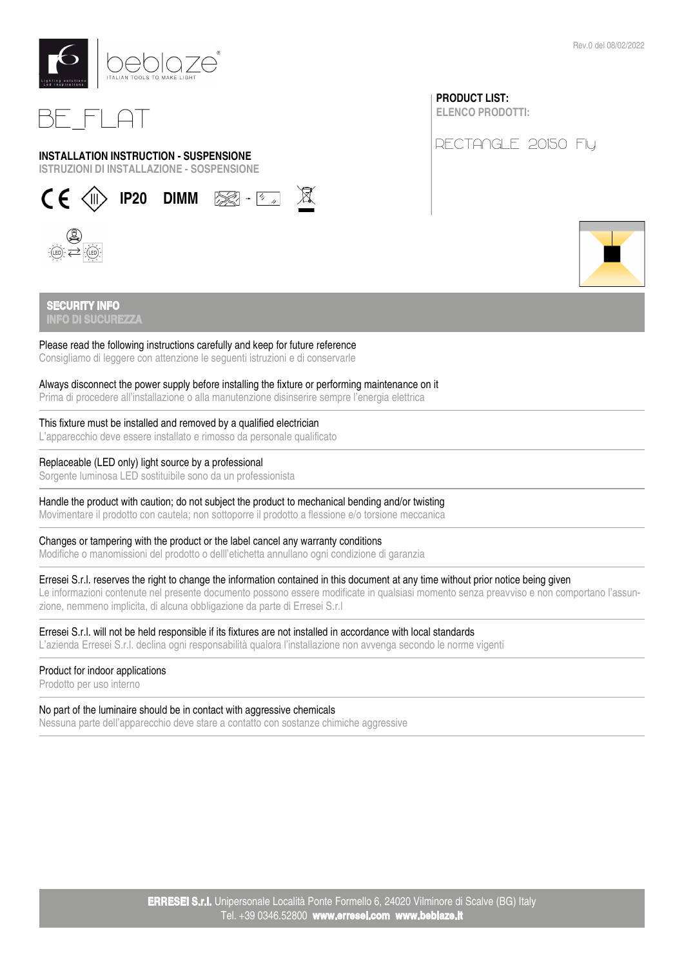

# BE\_FLAT

### INSTALLATION INSTRUCTION - SUSPENSIONE

ISTRUZIONI DI INSTALLAZIONE - SOSPENSIONE



# PRODUCT LIST:

ELENCO PRODOTTI:

RECTANGLE 20150 Fly



Rev.0 del 08/02/2022

### **SECURITY INFO** INFO DI SUCUREZZA

### Please read the following instructions carefully and keep for future reference

Consigliamo di leggere con attenzione le seguenti istruzioni e di conservarle

### Always disconnect the power supply before installing the fixture or performing maintenance on it

Prima di procedere all'installazione o alla manutenzione disinserire sempre l'energia elettrica

### This fixture must be installed and removed by a qualified electrician

L'apparecchio deve essere installato e rimosso da personale qualificato

### Replaceable (LED only) light source by a professional

Sorgente luminosa LED sostituibile sono da un professionista

### Handle the product with caution; do not subject the product to mechanical bending and/or twisting

Movimentare il prodotto con cautela; non sottoporre il prodotto a flessione e/o torsione meccanica

### Changes or tampering with the product or the label cancel any warranty conditions

Modifiche o manomissioni del prodotto o delll'etichetta annullano ogni condizione di garanzia

### Erresei S.r.l. reserves the right to change the information contained in this document at any time without prior notice being given

Le informazioni contenute nel presente documento possono essere modificate in qualsiasi momento senza preavviso e non comportano l'assunzione, nemmeno implicita, di alcuna obbligazione da parte di Erresei S.r.l

### Erresei S.r.l. will not be held responsible if its fixtures are not installed in accordance with local standards

L'azienda Erresei S.r.l. declina ogni responsabilità qualora l'installazione non avvenga secondo le norme vigenti

### Product for indoor applications

Prodotto per uso interno

## No part of the luminaire should be in contact with aggressive chemicals

Nessuna parte dell'apparecchio deve stare a contatto con sostanze chimiche aggressive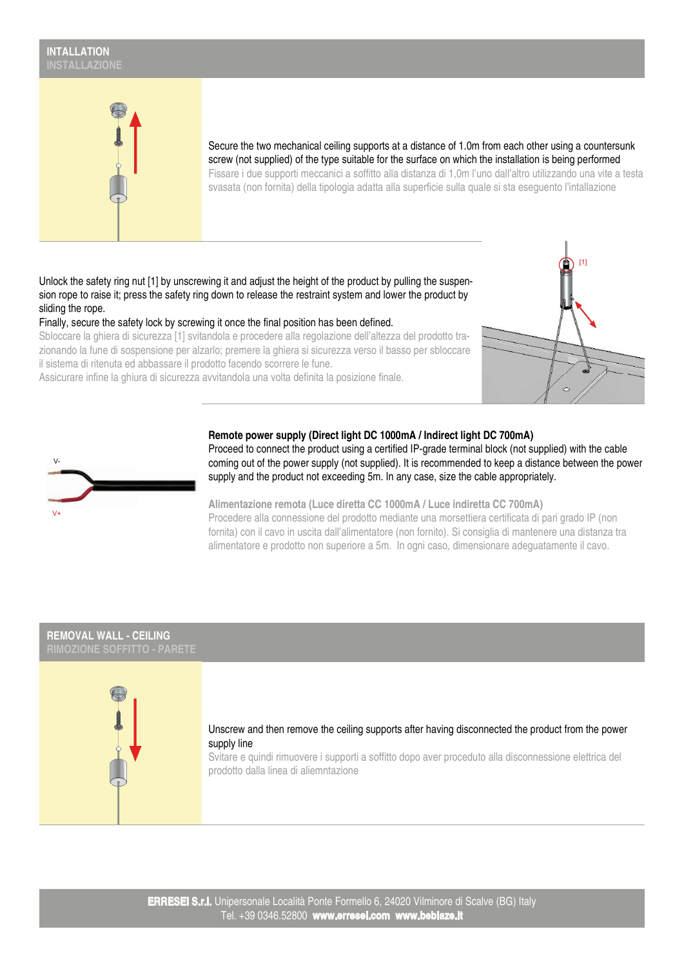# INTALLATION



Secure the two mechanical ceiling supports at a distance of 1.0m from each other using a countersunk screw (not supplied) of the type suitable for the surface on which the installation is being performed Fissare i due supporti meccanici a soffitto alla distanza di 1,0m l'uno dall'altro utilizzando una vite a testa svasata (non fornita) della tipologia adatta alla superficie sulla quale si sta eseguento l'intallazione

Unlock the safety ring nut [1] by unscrewing it and adjust the height of the product by pulling the suspension rope to raise it; press the safety ring down to release the restraint system and lower the product by sliding the rope.

Finally, secure the safety lock by screwing it once the final position has been defined.

Sbloccare la ghiera di sicurezza [1] svitandola e procedere alla regolazione dell'altezza del prodotto trazionando la fune di sospensione per alzarlo; premere la ghiera si sicurezza verso il basso per sbloccare il sistema di ritenuta ed abbassare il prodotto facendo scorrere le fune.

Assicurare infine la ghiura di sicurezza avvitandola una volta definita la posizione finale.





### Remote power supply (Direct light DC 1000mA / Indirect light DC 700mA)

Proceed to connect the product using a certified IP-grade terminal block (not supplied) with the cable coming out of the power supply (not supplied). It is recommended to keep a distance between the power supply and the product not exceeding 5m. In any case, size the cable appropriately.

Alimentazione remota (Luce diretta CC 1000mA / Luce indiretta CC 700mA) Procedere alla connessione del prodotto mediante una morsettiera certificata di pari grado IP (non fornita) con il cavo in uscita dall'alimentatore (non fornito). Si consiglia di mantenere una distanza tra alimentatore e prodotto non superiore a 5m. In ogni caso, dimensionare adeguatamente il cavo.

# REMOVAL WALL - CEILING



### Unscrew and then remove the ceiling supports after having disconnected the product from the power supply line

Svitare e quindi rimuovere i supporti a soffitto dopo aver proceduto alla disconnessione elettrica del prodotto dalla linea di aliemntazione